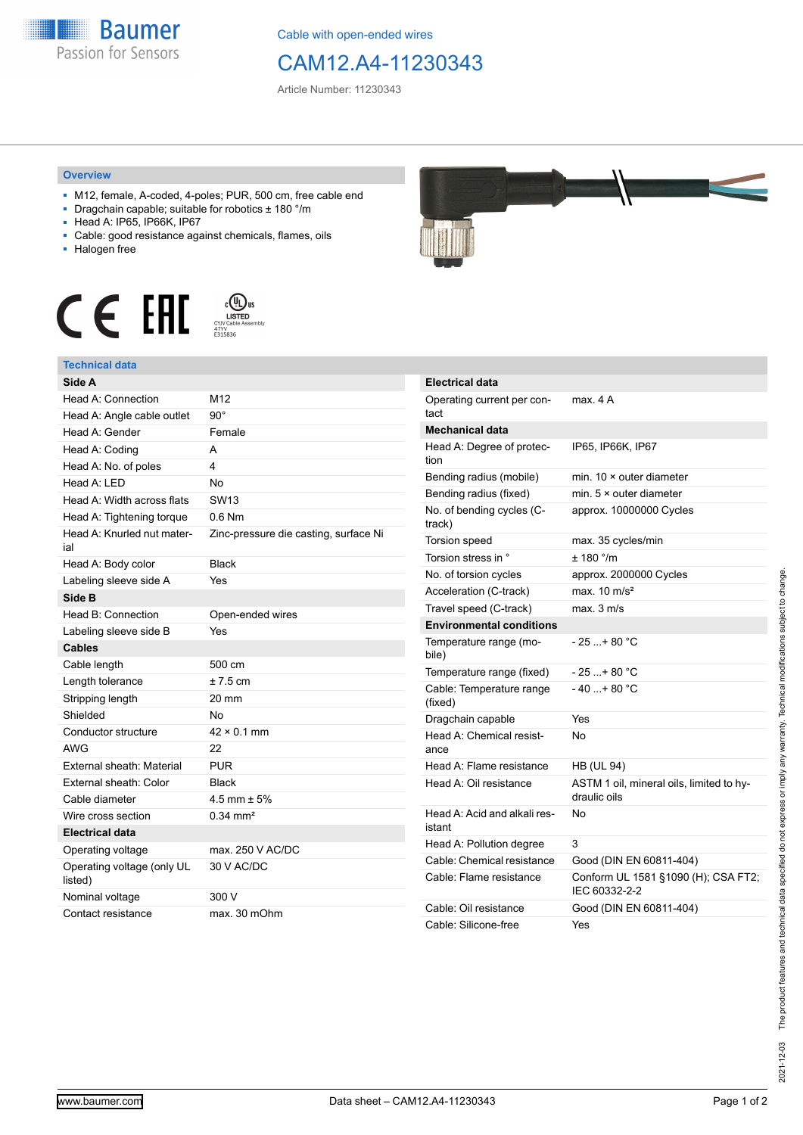

Cable with open-ended wires

## CAM12.A4-11230343

Article Number: 11230343

## **Overview**

- M12, female, A-coded, 4-poles; PUR, 500 cm, free cable end
- Dragchain capable; suitable for robotics ± 180 °/m
- Head A: IP65, IP66K, IP67
- Cable: good resistance against chemicals, flames, oils
- Halogen free





## **Technical data**

| Side A                                |                                       |
|---------------------------------------|---------------------------------------|
| Head A: Connection                    | M12                                   |
| Head A: Angle cable outlet            | $90^{\circ}$                          |
| Head A: Gender                        | Female                                |
| Head A: Coding                        | А                                     |
| Head A: No. of poles                  | 4                                     |
| Head A: LED                           | <b>No</b>                             |
| Head A: Width across flats            | SW <sub>13</sub>                      |
| Head A: Tightening torque             | $0.6$ Nm                              |
| Head A: Knurled nut mater-<br>ial     | Zinc-pressure die casting, surface Ni |
| Head A: Body color                    | <b>Black</b>                          |
| Labeling sleeve side A                | Yes                                   |
| Side B                                |                                       |
| Head B: Connection                    | Open-ended wires                      |
| Labeling sleeve side B                | Yes                                   |
| <b>Cables</b>                         |                                       |
| Cable length                          | 500 cm                                |
| Length tolerance                      | $±7.5$ cm                             |
| Stripping length                      | 20 mm                                 |
| Shielded                              | No                                    |
| Conductor structure                   | $42 \times 0.1$ mm                    |
| <b>AWG</b>                            | 22                                    |
| External sheath: Material             | <b>PUR</b>                            |
| External sheath: Color                | <b>Black</b>                          |
| Cable diameter                        | 4.5 mm $\pm$ 5%                       |
| Wire cross section                    | $0.34 \text{ mm}^2$                   |
| <b>Electrical data</b>                |                                       |
| Operating voltage                     | max. 250 V AC/DC                      |
| Operating voltage (only UL<br>listed) | 30 V AC/DC                            |
| Nominal voltage                       | 300 V                                 |
| Contact resistance                    | max. 30 mOhm                          |



| Electrical data                        |                                                          |
|----------------------------------------|----------------------------------------------------------|
| Operating current per con-<br>tact     | max. 4 A                                                 |
| Mechanical data                        |                                                          |
| Head A: Degree of protec-<br>tion      | IP65, IP66K, IP67                                        |
| Bending radius (mobile)                | min. $10 \times$ outer diameter                          |
| Bending radius (fixed)                 | min. $5 \times$ outer diameter                           |
| No. of bending cycles (C-<br>track)    | approx. 10000000 Cycles                                  |
| Torsion speed                          | max. 35 cycles/min                                       |
| Torsion stress in °                    | ± 180 °/m                                                |
| No. of torsion cycles                  | approx. 2000000 Cycles                                   |
| Acceleration (C-track)                 | max. $10 \text{ m/s}^2$                                  |
| Travel speed (C-track)                 | max. 3 m/s                                               |
| <b>Environmental conditions</b>        |                                                          |
| Temperature range (mo-<br>bile)        | $-25$ + 80 °C                                            |
| Temperature range (fixed)              | - 25 + 80 °C                                             |
| Cable: Temperature range<br>(fixed)    | - 40 + 80 °C                                             |
| Dragchain capable                      | Yes                                                      |
| Head A: Chemical resist-<br>ance       | No                                                       |
| Head A: Flame resistance               | <b>HB (UL 94)</b>                                        |
| Head A: Oil resistance                 | ASTM 1 oil, mineral oils, limited to hy-<br>draulic oils |
| Head A: Acid and alkali res-<br>istant | No                                                       |
| Head A: Pollution degree               | 3                                                        |
| Cable: Chemical resistance             | Good (DIN EN 60811-404)                                  |
| Cable: Flame resistance                | Conform UL 1581 §1090 (H); CSA FT2;<br>IEC 60332-2-2     |
| Cable: Oil resistance                  | Good (DIN EN 60811-404)                                  |
| Cable: Silicone-free                   | Yes                                                      |